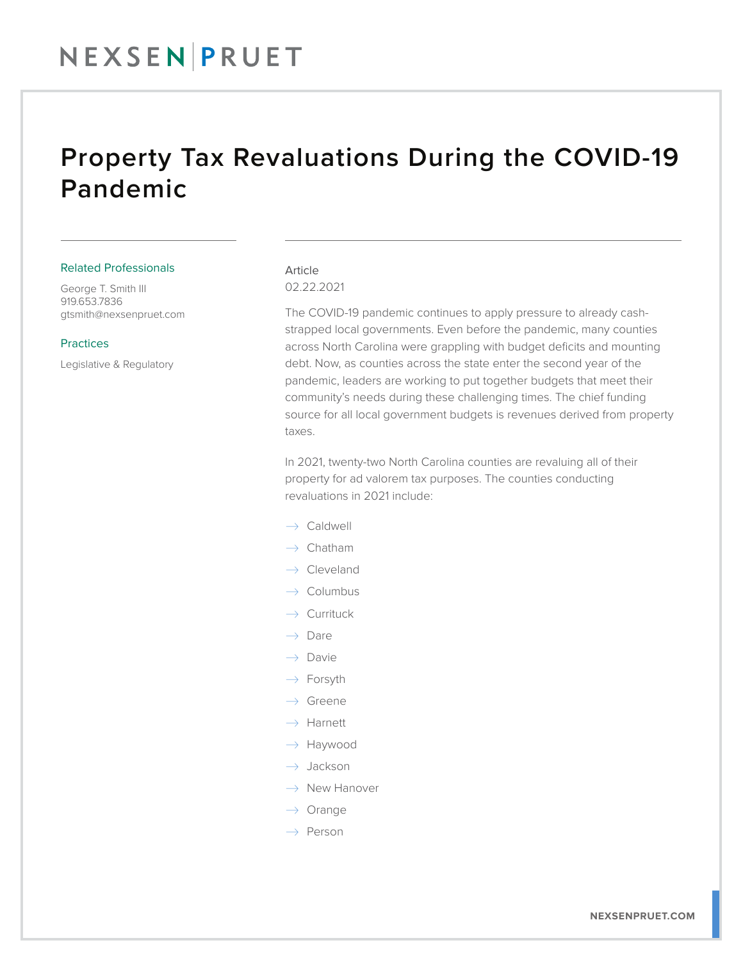### NEXSENPRUET

### Property Tax Revaluations During the COVID-19 Pandemic

#### Related Professionals

George T. Smith III 919.653.7836 gtsmith@nexsenpruet.com

#### Practices

Legislative & Regulatory

### Article 02.22.2021

The COVID-19 pandemic continues to apply pressure to already cashstrapped local governments. Even before the pandemic, many counties across North Carolina were grappling with budget deficits and mounting debt. Now, as counties across the state enter the second year of the pandemic, leaders are working to put together budgets that meet their community's needs during these challenging times. The chief funding source for all local government budgets is revenues derived from property taxes.

In 2021, twenty-two North Carolina counties are revaluing all of their property for ad valorem tax purposes. The counties conducting revaluations in 2021 include:

- $\rightarrow$  Caldwell
- $\rightarrow$  Chatham
- $\rightarrow$  Cleveland
- $\rightarrow$  Columbus
- $\rightarrow$  Currituck
- $\rightarrow$  Dare
- $\rightarrow$  Davie
- $\rightarrow$  Forsyth
- $\rightarrow$  Greene
- $\rightarrow$  Harnett
- $\rightarrow$  Haywood
- $\rightarrow$  Jackson
- $\rightarrow$  New Hanover
- $\rightarrow$  Orange
- $\rightarrow$  Person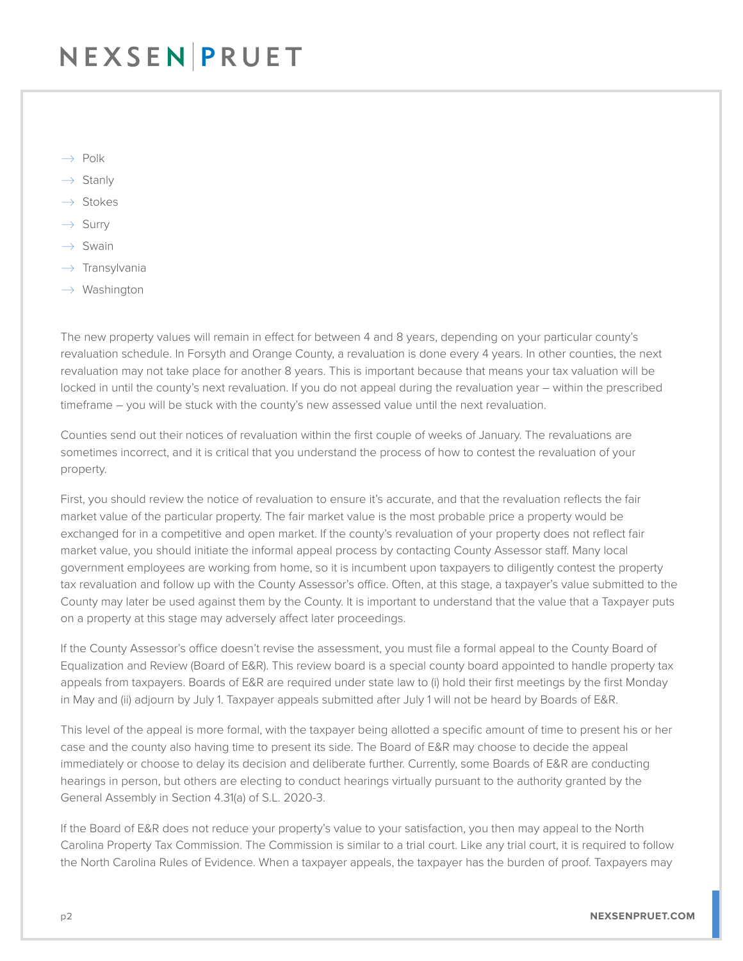# NEXSENPRUET

- $\rightarrow$  Polk
- $\rightarrow$  Stanly
- $\rightarrow$  Stokes
- $\rightarrow$  Surry
- $\rightarrow$  Swain
- $\rightarrow$  Transylvania
- $\rightarrow$  Washington

The new property values will remain in effect for between 4 and 8 years, depending on your particular county's revaluation schedule. In Forsyth and Orange County, a revaluation is done every 4 years. In other counties, the next revaluation may not take place for another 8 years. This is important because that means your tax valuation will be locked in until the county's next revaluation. If you do not appeal during the revaluation year – within the prescribed timeframe – you will be stuck with the county's new assessed value until the next revaluation.

Counties send out their notices of revaluation within the first couple of weeks of January. The revaluations are sometimes incorrect, and it is critical that you understand the process of how to contest the revaluation of your property.

First, you should review the notice of revaluation to ensure it's accurate, and that the revaluation reflects the fair market value of the particular property. The fair market value is the most probable price a property would be exchanged for in a competitive and open market. If the county's revaluation of your property does not reflect fair market value, you should initiate the informal appeal process by contacting County Assessor staff. Many local government employees are working from home, so it is incumbent upon taxpayers to diligently contest the property tax revaluation and follow up with the County Assessor's office. Often, at this stage, a taxpayer's value submitted to the County may later be used against them by the County. It is important to understand that the value that a Taxpayer puts on a property at this stage may adversely affect later proceedings.

If the County Assessor's office doesn't revise the assessment, you must file a formal appeal to the County Board of Equalization and Review (Board of E&R). This review board is a special county board appointed to handle property tax appeals from taxpayers. Boards of E&R are required under state law to (i) hold their first meetings by the first Monday in May and (ii) adjourn by July 1. Taxpayer appeals submitted after July 1 will not be heard by Boards of E&R.

This level of the appeal is more formal, with the taxpayer being allotted a specific amount of time to present his or her case and the county also having time to present its side. The Board of E&R may choose to decide the appeal immediately or choose to delay its decision and deliberate further. Currently, some Boards of E&R are conducting hearings in person, but others are electing to conduct hearings virtually pursuant to the authority granted by the General Assembly in Section 4.31(a) of S.L. 2020-3.

If the Board of E&R does not reduce your property's value to your satisfaction, you then may appeal to the North Carolina Property Tax Commission. The Commission is similar to a trial court. Like any trial court, it is required to follow the North Carolina Rules of Evidence. When a taxpayer appeals, the taxpayer has the burden of proof. Taxpayers may